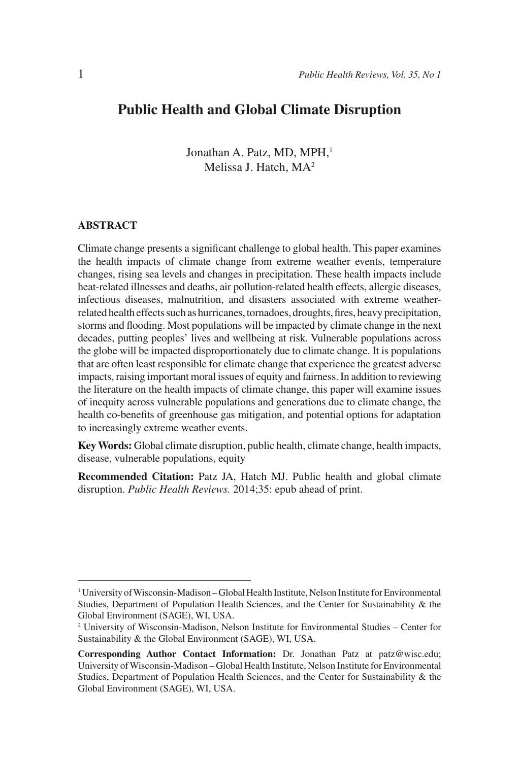# **Public Health and Global Climate Disruption**

Jonathan A. Patz, MD, MPH,<sup>1</sup> Melissa J. Hatch, MA2

#### **ABSTRACT**

Climate change presents a significant challenge to global health. This paper examines the health impacts of climate change from extreme weather events, temperature changes, rising sea levels and changes in precipitation. These health impacts include heat-related illnesses and deaths, air pollution-related health effects, allergic diseases, infectious diseases, malnutrition, and disasters associated with extreme weatherrelated health effects such as hurricanes, tornadoes, droughts, fires, heavy precipitation, storms and flooding. Most populations will be impacted by climate change in the next decades, putting peoples' lives and wellbeing at risk. Vulnerable populations across the globe will be impacted disproportionately due to climate change. It is populations that are often least responsible for climate change that experience the greatest adverse impacts, raising important moral issues of equity and fairness. In addition to reviewing the literature on the health impacts of climate change, this paper will examine issues of inequity across vulnerable populations and generations due to climate change, the health co-benefits of greenhouse gas mitigation, and potential options for adaptation to increasingly extreme weather events.

**Key Words:** Global climate disruption, public health, climate change, health impacts, disease, vulnerable populations, equity

**Recommended Citation:** Patz JA, Hatch MJ. Public health and global climate disruption. *Public Health Reviews.* 2014;35: epub ahead of print.

<sup>1</sup> University of Wisconsin-Madison – Global Health Institute, Nelson Institute for Environmental Studies, Department of Population Health Sciences, and the Center for Sustainability & the Global Environment (SAGE), WI, USA.

<sup>2</sup> University of Wisconsin-Madison, Nelson Institute for Environmental Studies – Center for Sustainability & the Global Environment (SAGE), WI, USA.

**Corresponding Author Contact Information:** Dr. Jonathan Patz at patz@wisc.edu; University of Wisconsin-Madison – Global Health Institute, Nelson Institute for Environmental Studies, Department of Population Health Sciences, and the Center for Sustainability & the Global Environment (SAGE), WI, USA.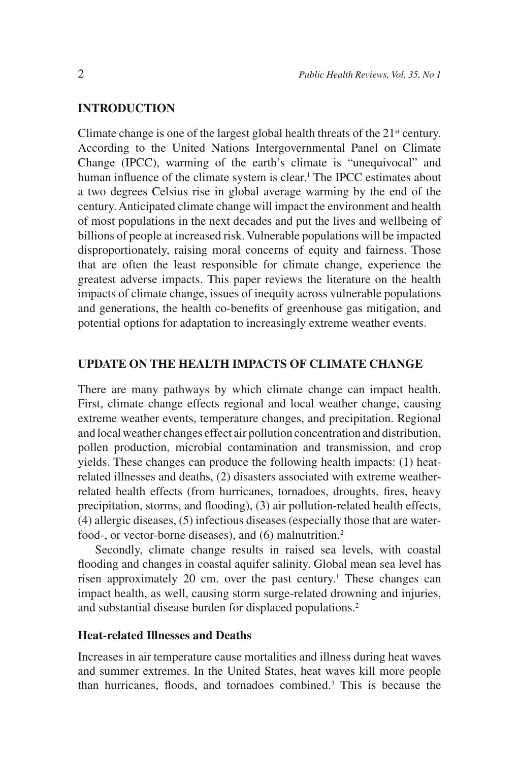### **INTRODUCTION**

Climate change is one of the largest global health threats of the  $21<sup>st</sup>$  century. According to the United Nations Intergovernmental Panel on Climate Change (IPCC), warming of the earth's climate is "unequivocal" and human influence of the climate system is clear.<sup>1</sup> The IPCC estimates about a two degrees Celsius rise in global average warming by the end of the century. Anticipated climate change will impact the environment and health of most populations in the next decades and put the lives and wellbeing of billions of people at increased risk. Vulnerable populations will be impacted disproportionately, raising moral concerns of equity and fairness. Those that are often the least responsible for climate change, experience the greatest adverse impacts. This paper reviews the literature on the health impacts of climate change, issues of inequity across vulnerable populations and generations, the health co-benefits of greenhouse gas mitigation, and potential options for adaptation to increasingly extreme weather events.

#### **UPDATE ON THE HEALTH IMPACTS OF CLIMATE CHANGE**

There are many pathways by which climate change can impact health. First, climate change effects regional and local weather change, causing extreme weather events, temperature changes, and precipitation. Regional and local weather changes effect air pollution concentration and distribution, pollen production, microbial contamination and transmission, and crop yields. These changes can produce the following health impacts: (1) heatrelated illnesses and deaths, (2) disasters associated with extreme weatherrelated health effects (from hurricanes, tornadoes, droughts, fires, heavy precipitation, storms, and flooding), (3) air pollution-related health effects, (4) allergic diseases, (5) infectious diseases (especially those that are waterfood-, or vector-borne diseases), and (6) malnutrition.2

Secondly, climate change results in raised sea levels, with coastal flooding and changes in coastal aquifer salinity. Global mean sea level has risen approximately 20 cm. over the past century.<sup>1</sup> These changes can impact health, as well, causing storm surge-related drowning and injuries, and substantial disease burden for displaced populations.2

#### **Heat-related Illnesses and Deaths**

Increases in air temperature cause mortalities and illness during heat waves and summer extremes. In the United States, heat waves kill more people than hurricanes, floods, and tornadoes combined.3 This is because the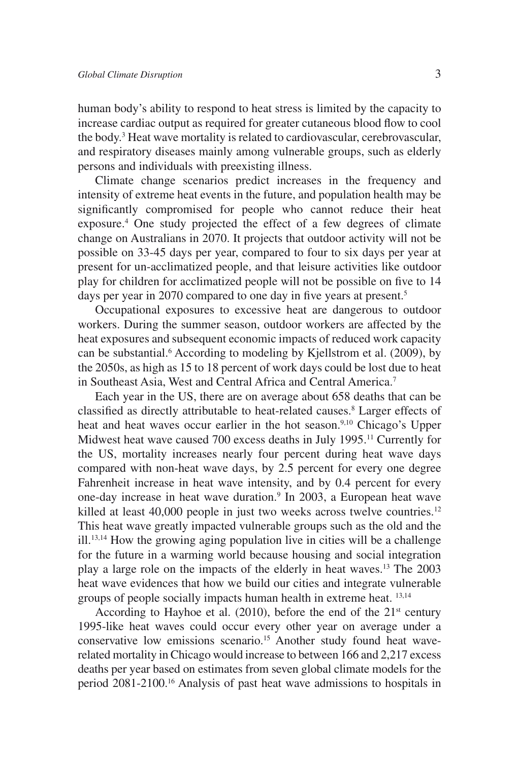human body's ability to respond to heat stress is limited by the capacity to increase cardiac output as required for greater cutaneous blood flow to cool the body.<sup>3</sup> Heat wave mortality is related to cardiovascular, cerebrovascular, and respiratory diseases mainly among vulnerable groups, such as elderly persons and individuals with preexisting illness.

Climate change scenarios predict increases in the frequency and intensity of extreme heat events in the future, and population health may be significantly compromised for people who cannot reduce their heat exposure.<sup>4</sup> One study projected the effect of a few degrees of climate change on Australians in 2070. It projects that outdoor activity will not be possible on 33-45 days per year, compared to four to six days per year at present for un-acclimatized people, and that leisure activities like outdoor play for children for acclimatized people will not be possible on five to 14 days per year in 2070 compared to one day in five years at present.<sup>5</sup>

Occupational exposures to excessive heat are dangerous to outdoor workers. During the summer season, outdoor workers are affected by the heat exposures and subsequent economic impacts of reduced work capacity can be substantial.<sup>6</sup> According to modeling by Kjellstrom et al. (2009), by the 2050s, as high as 15 to 18 percent of work days could be lost due to heat in Southeast Asia, West and Central Africa and Central America.7

Each year in the US, there are on average about 658 deaths that can be classified as directly attributable to heat-related causes.<sup>8</sup> Larger effects of heat and heat waves occur earlier in the hot season.<sup>9,10</sup> Chicago's Upper Midwest heat wave caused 700 excess deaths in July 1995.<sup>11</sup> Currently for the US, mortality increases nearly four percent during heat wave days compared with non-heat wave days, by 2.5 percent for every one degree Fahrenheit increase in heat wave intensity, and by 0.4 percent for every one-day increase in heat wave duration.<sup>9</sup> In 2003, a European heat wave killed at least 40,000 people in just two weeks across twelve countries.<sup>12</sup> This heat wave greatly impacted vulnerable groups such as the old and the ill.13,14 How the growing aging population live in cities will be a challenge for the future in a warming world because housing and social integration play a large role on the impacts of the elderly in heat waves.13 The 2003 heat wave evidences that how we build our cities and integrate vulnerable groups of people socially impacts human health in extreme heat. 13,14

According to Hayhoe et al. (2010), before the end of the  $21<sup>st</sup>$  century 1995-like heat waves could occur every other year on average under a conservative low emissions scenario.<sup>15</sup> Another study found heat waverelated mortality in Chicago would increase to between 166 and 2,217 excess deaths per year based on estimates from seven global climate models for the period 2081-2100.16 Analysis of past heat wave admissions to hospitals in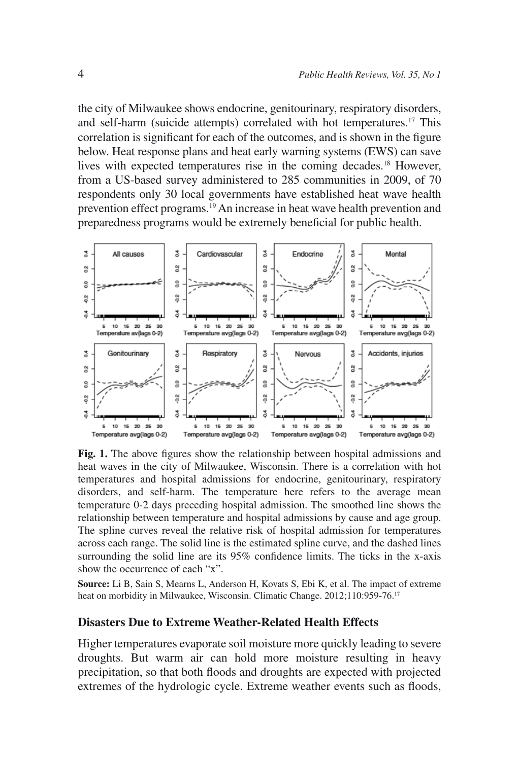the city of Milwaukee shows endocrine, genitourinary, respiratory disorders, and self-harm (suicide attempts) correlated with hot temperatures.17 This correlation is significant for each of the outcomes, and is shown in the figure below. Heat response plans and heat early warning systems (EWS) can save lives with expected temperatures rise in the coming decades.18 However, from a US-based survey administered to 285 communities in 2009, of 70 respondents only 30 local governments have established heat wave health prevention effect programs.19 An increase in heat wave health prevention and preparedness programs would be extremely beneficial for public health.



**Fig. 1.** The above figures show the relationship between hospital admissions and heat waves in the city of Milwaukee, Wisconsin. There is a correlation with hot temperatures and hospital admissions for endocrine, genitourinary, respiratory disorders, and self-harm. The temperature here refers to the average mean temperature 0-2 days preceding hospital admission. The smoothed line shows the relationship between temperature and hospital admissions by cause and age group. The spline curves reveal the relative risk of hospital admission for temperatures across each range. The solid line is the estimated spline curve, and the dashed lines surrounding the solid line are its 95% confidence limits. The ticks in the x-axis show the occurrence of each "x".

**Source:** Li B, Sain S, Mearns L, Anderson H, Kovats S, Ebi K, et al. The impact of extreme heat on morbidity in Milwaukee, Wisconsin. Climatic Change. 2012;110:959-76.<sup>17</sup>

#### **Disasters Due to Extreme Weather-Related Health Effects**

Higher temperatures evaporate soil moisture more quickly leading to severe droughts. But warm air can hold more moisture resulting in heavy precipitation, so that both floods and droughts are expected with projected extremes of the hydrologic cycle. Extreme weather events such as floods,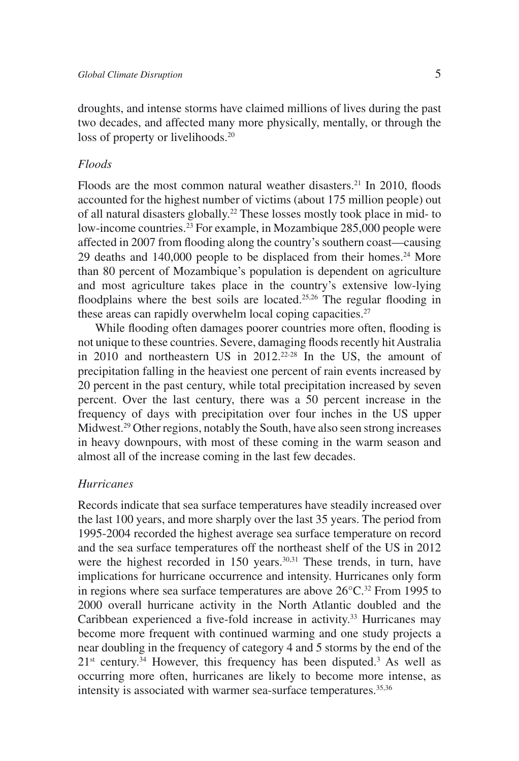droughts, and intense storms have claimed millions of lives during the past two decades, and affected many more physically, mentally, or through the loss of property or livelihoods.<sup>20</sup>

#### *Floods*

Floods are the most common natural weather disasters.<sup>21</sup> In 2010, floods accounted for the highest number of victims (about 175 million people) out of all natural disasters globally.22 These losses mostly took place in mid- to low-income countries.<sup>23</sup> For example, in Mozambique 285,000 people were affected in 2007 from flooding along the country's southern coast—causing 29 deaths and 140,000 people to be displaced from their homes.<sup>24</sup> More than 80 percent of Mozambique's population is dependent on agriculture and most agriculture takes place in the country's extensive low-lying floodplains where the best soils are located.<sup>25,26</sup> The regular flooding in these areas can rapidly overwhelm local coping capacities.<sup>27</sup>

While flooding often damages poorer countries more often, flooding is not unique to these countries. Severe, damaging floods recently hit Australia in  $2010$  and northeastern US in  $2012.<sup>22-28</sup>$  In the US, the amount of precipitation falling in the heaviest one percent of rain events increased by 20 percent in the past century, while total precipitation increased by seven percent. Over the last century, there was a 50 percent increase in the frequency of days with precipitation over four inches in the US upper Midwest.<sup>29</sup> Other regions, notably the South, have also seen strong increases in heavy downpours, with most of these coming in the warm season and almost all of the increase coming in the last few decades.

#### *Hurricanes*

Records indicate that sea surface temperatures have steadily increased over the last 100 years, and more sharply over the last 35 years. The period from 1995-2004 recorded the highest average sea surface temperature on record and the sea surface temperatures off the northeast shelf of the US in 2012 were the highest recorded in 150 years.<sup>30,31</sup> These trends, in turn, have implications for hurricane occurrence and intensity. Hurricanes only form in regions where sea surface temperatures are above  $26^{\circ}$ C.<sup>32</sup> From 1995 to 2000 overall hurricane activity in the North Atlantic doubled and the Caribbean experienced a five-fold increase in activity.<sup>33</sup> Hurricanes may become more frequent with continued warming and one study projects a near doubling in the frequency of category 4 and 5 storms by the end of the  $21<sup>st</sup>$  century.<sup>34</sup> However, this frequency has been disputed.<sup>3</sup> As well as occurring more often, hurricanes are likely to become more intense, as intensity is associated with warmer sea-surface temperatures.<sup>35,36</sup>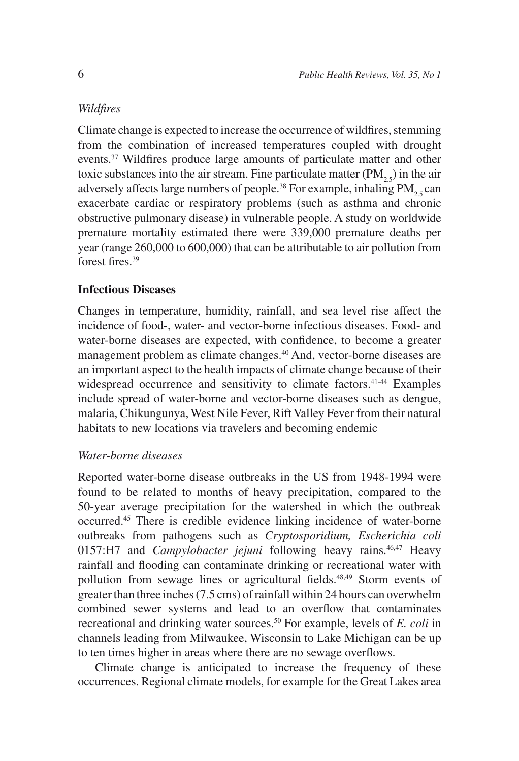#### *Wildfires*

Climate change is expected to increase the occurrence of wildfires, stemming from the combination of increased temperatures coupled with drought events.<sup>37</sup> Wildfires produce large amounts of particulate matter and other toxic substances into the air stream. Fine particulate matter  $(PM_{2,5})$  in the air adversely affects large numbers of people.<sup>38</sup> For example, inhaling  $PM_{25}$  can exacerbate cardiac or respiratory problems (such as asthma and chronic obstructive pulmonary disease) in vulnerable people. A study on worldwide premature mortality estimated there were 339,000 premature deaths per year (range 260,000 to 600,000) that can be attributable to air pollution from forest fires $39$ 

## **Infectious Diseases**

Changes in temperature, humidity, rainfall, and sea level rise affect the incidence of food-, water- and vector-borne infectious diseases. Food- and water-borne diseases are expected, with confidence, to become a greater management problem as climate changes.40 And, vector-borne diseases are an important aspect to the health impacts of climate change because of their widespread occurrence and sensitivity to climate factors.<sup>41-44</sup> Examples include spread of water-borne and vector-borne diseases such as dengue, malaria, Chikungunya, West Nile Fever, Rift Valley Fever from their natural habitats to new locations via travelers and becoming endemic

#### *Water-borne diseases*

Reported water-borne disease outbreaks in the US from 1948-1994 were found to be related to months of heavy precipitation, compared to the 50-year average precipitation for the watershed in which the outbreak occurred.45 There is credible evidence linking incidence of water-borne outbreaks from pathogens such as *Cryptosporidium, Escherichia coli* 0157:H7 and *Campylobacter jejuni* following heavy rains.<sup>46,47</sup> Heavy rainfall and flooding can contaminate drinking or recreational water with pollution from sewage lines or agricultural fields.<sup>48,49</sup> Storm events of greater than three inches (7.5 cms) of rainfall within 24 hours can overwhelm combined sewer systems and lead to an overflow that contaminates recreational and drinking water sources.50 For example, levels of *E. coli* in channels leading from Milwaukee, Wisconsin to Lake Michigan can be up to ten times higher in areas where there are no sewage overflows.

Climate change is anticipated to increase the frequency of these occurrences. Regional climate models, for example for the Great Lakes area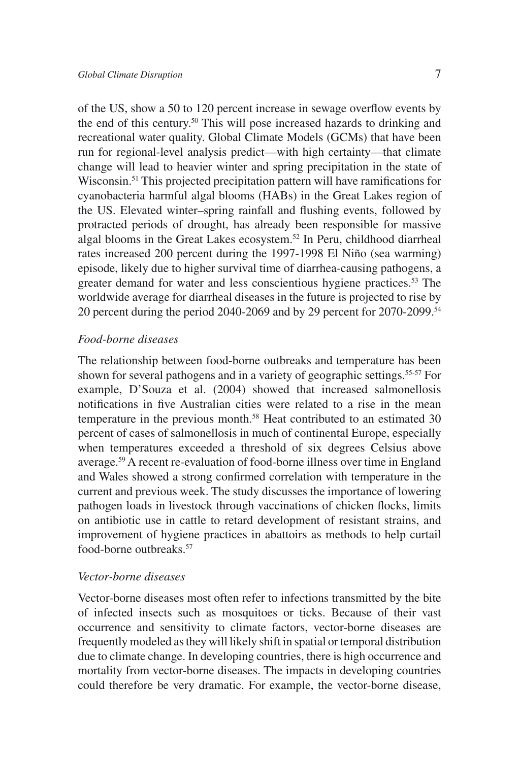of the US, show a 50 to 120 percent increase in sewage overflow events by the end of this century.50 This will pose increased hazards to drinking and recreational water quality. Global Climate Models (GCMs) that have been run for regional-level analysis predict—with high certainty—that climate change will lead to heavier winter and spring precipitation in the state of Wisconsin.51 This projected precipitation pattern will have ramifications for cyanobacteria harmful algal blooms (HABs) in the Great Lakes region of the US. Elevated winter–spring rainfall and flushing events, followed by protracted periods of drought, has already been responsible for massive algal blooms in the Great Lakes ecosystem.<sup>52</sup> In Peru, childhood diarrheal rates increased 200 percent during the 1997-1998 El Niño (sea warming) episode, likely due to higher survival time of diarrhea-causing pathogens, a greater demand for water and less conscientious hygiene practices.<sup>53</sup> The worldwide average for diarrheal diseases in the future is projected to rise by 20 percent during the period 2040-2069 and by 29 percent for 2070-2099.<sup>54</sup>

#### *Food-borne diseases*

The relationship between food-borne outbreaks and temperature has been shown for several pathogens and in a variety of geographic settings.<sup>55-57</sup> For example, D'Souza et al. (2004) showed that increased salmonellosis notifications in five Australian cities were related to a rise in the mean temperature in the previous month.<sup>58</sup> Heat contributed to an estimated 30 percent of cases of salmonellosis in much of continental Europe, especially when temperatures exceeded a threshold of six degrees Celsius above average.59 A recent re-evaluation of food-borne illness over time in England and Wales showed a strong confirmed correlation with temperature in the current and previous week. The study discusses the importance of lowering pathogen loads in livestock through vaccinations of chicken flocks, limits on antibiotic use in cattle to retard development of resistant strains, and improvement of hygiene practices in abattoirs as methods to help curtail food-borne outbreaks.57

#### *Vector-borne diseases*

Vector-borne diseases most often refer to infections transmitted by the bite of infected insects such as mosquitoes or ticks. Because of their vast occurrence and sensitivity to climate factors, vector-borne diseases are frequently modeled as they will likely shift in spatial or temporal distribution due to climate change. In developing countries, there is high occurrence and mortality from vector-borne diseases. The impacts in developing countries could therefore be very dramatic. For example, the vector-borne disease,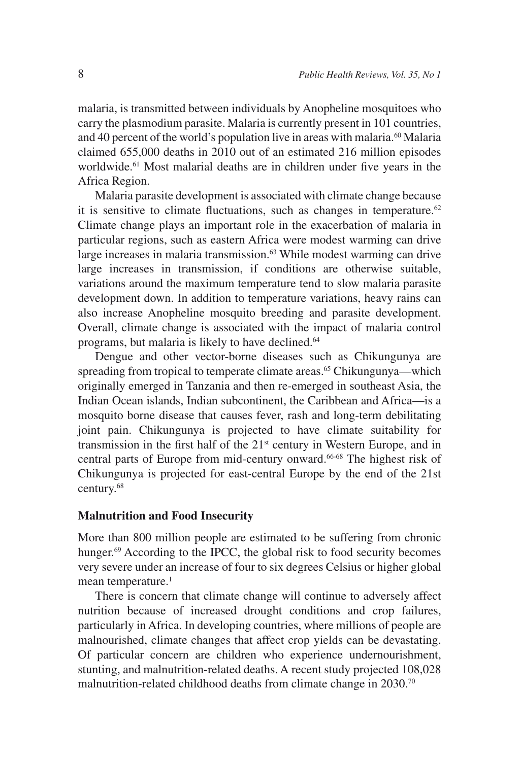malaria, is transmitted between individuals by Anopheline mosquitoes who carry the plasmodium parasite. Malaria is currently present in 101 countries, and 40 percent of the world's population live in areas with malaria.<sup>60</sup> Malaria claimed 655,000 deaths in 2010 out of an estimated 216 million episodes worldwide.<sup>61</sup> Most malarial deaths are in children under five years in the Africa Region.

Malaria parasite development is associated with climate change because it is sensitive to climate fluctuations, such as changes in temperature.<sup>62</sup> Climate change plays an important role in the exacerbation of malaria in particular regions, such as eastern Africa were modest warming can drive large increases in malaria transmission.<sup>63</sup> While modest warming can drive large increases in transmission, if conditions are otherwise suitable, variations around the maximum temperature tend to slow malaria parasite development down. In addition to temperature variations, heavy rains can also increase Anopheline mosquito breeding and parasite development. Overall, climate change is associated with the impact of malaria control programs, but malaria is likely to have declined.<sup>64</sup>

Dengue and other vector-borne diseases such as Chikungunya are spreading from tropical to temperate climate areas.<sup>65</sup> Chikungunya—which originally emerged in Tanzania and then re-emerged in southeast Asia, the Indian Ocean islands, Indian subcontinent, the Caribbean and Africa—is a mosquito borne disease that causes fever, rash and long-term debilitating joint pain. Chikungunya is projected to have climate suitability for transmission in the first half of the  $21<sup>st</sup>$  century in Western Europe, and in central parts of Europe from mid-century onward.<sup>66-68</sup> The highest risk of Chikungunya is projected for east-central Europe by the end of the 21st century.68

#### **Malnutrition and Food Insecurity**

More than 800 million people are estimated to be suffering from chronic hunger.<sup>69</sup> According to the IPCC, the global risk to food security becomes very severe under an increase of four to six degrees Celsius or higher global mean temperature.<sup>1</sup>

There is concern that climate change will continue to adversely affect nutrition because of increased drought conditions and crop failures, particularly in Africa. In developing countries, where millions of people are malnourished, climate changes that affect crop yields can be devastating. Of particular concern are children who experience undernourishment, stunting, and malnutrition-related deaths. A recent study projected 108,028 malnutrition-related childhood deaths from climate change in 2030.<sup>70</sup>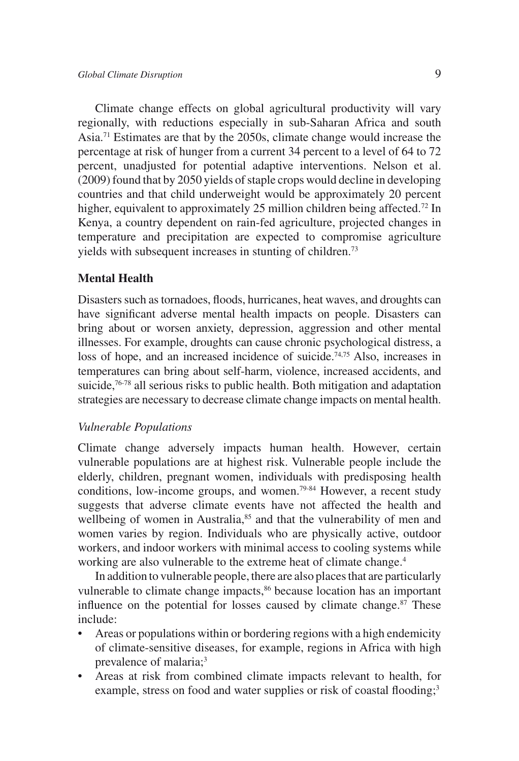Climate change effects on global agricultural productivity will vary regionally, with reductions especially in sub-Saharan Africa and south Asia.71 Estimates are that by the 2050s, climate change would increase the percentage at risk of hunger from a current 34 percent to a level of 64 to 72 percent, unadjusted for potential adaptive interventions. Nelson et al. (2009) found that by 2050 yields of staple crops would decline in developing countries and that child underweight would be approximately 20 percent higher, equivalent to approximately 25 million children being affected.<sup>72</sup> In Kenya, a country dependent on rain-fed agriculture, projected changes in temperature and precipitation are expected to compromise agriculture yields with subsequent increases in stunting of children.73

## **Mental Health**

Disasters such as tornadoes, floods, hurricanes, heat waves, and droughts can have significant adverse mental health impacts on people. Disasters can bring about or worsen anxiety, depression, aggression and other mental illnesses. For example, droughts can cause chronic psychological distress, a loss of hope, and an increased incidence of suicide.<sup>74,75</sup> Also, increases in temperatures can bring about self-harm, violence, increased accidents, and suicide,<sup>76-78</sup> all serious risks to public health. Both mitigation and adaptation strategies are necessary to decrease climate change impacts on mental health.

### *Vulnerable Populations*

Climate change adversely impacts human health. However, certain vulnerable populations are at highest risk. Vulnerable people include the elderly, children, pregnant women, individuals with predisposing health conditions, low-income groups, and women.<sup>79-84</sup> However, a recent study suggests that adverse climate events have not affected the health and wellbeing of women in Australia,<sup>85</sup> and that the vulnerability of men and women varies by region. Individuals who are physically active, outdoor workers, and indoor workers with minimal access to cooling systems while working are also vulnerable to the extreme heat of climate change.<sup>4</sup>

In addition to vulnerable people, there are also places that are particularly vulnerable to climate change impacts,<sup>86</sup> because location has an important influence on the potential for losses caused by climate change. $87$  These include:

- Areas or populations within or bordering regions with a high endemicity of climate-sensitive diseases, for example, regions in Africa with high prevalence of malaria;<sup>3</sup>
- Areas at risk from combined climate impacts relevant to health, for example, stress on food and water supplies or risk of coastal flooding;<sup>3</sup>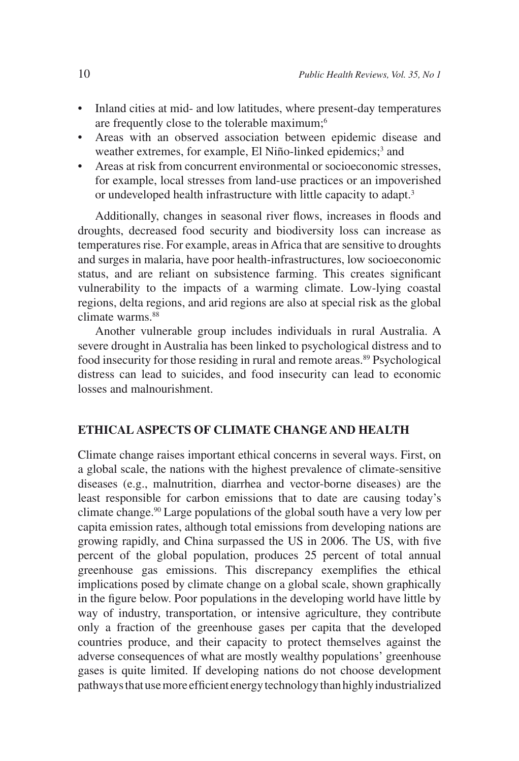- Inland cities at mid- and low latitudes, where present-day temperatures are frequently close to the tolerable maximum;<sup>6</sup>
- Areas with an observed association between epidemic disease and weather extremes, for example, El Niño-linked epidemics;<sup>3</sup> and
- Areas at risk from concurrent environmental or socioeconomic stresses, for example, local stresses from land-use practices or an impoverished or undeveloped health infrastructure with little capacity to adapt.<sup>3</sup>

Additionally, changes in seasonal river flows, increases in floods and droughts, decreased food security and biodiversity loss can increase as temperatures rise. For example, areas in Africa that are sensitive to droughts and surges in malaria, have poor health-infrastructures, low socioeconomic status, and are reliant on subsistence farming. This creates significant vulnerability to the impacts of a warming climate. Low-lying coastal regions, delta regions, and arid regions are also at special risk as the global climate warms.<sup>88</sup>

Another vulnerable group includes individuals in rural Australia. A severe drought in Australia has been linked to psychological distress and to food insecurity for those residing in rural and remote areas.<sup>89</sup> Psychological distress can lead to suicides, and food insecurity can lead to economic losses and malnourishment.

### **ETHICAL ASPECTS OF CLIMATE CHANGE AND HEALTH**

Climate change raises important ethical concerns in several ways. First, on a global scale, the nations with the highest prevalence of climate-sensitive diseases (e.g., malnutrition, diarrhea and vector-borne diseases) are the least responsible for carbon emissions that to date are causing today's climate change.90 Large populations of the global south have a very low per capita emission rates, although total emissions from developing nations are growing rapidly, and China surpassed the US in 2006. The US, with five percent of the global population, produces 25 percent of total annual greenhouse gas emissions. This discrepancy exemplifies the ethical implications posed by climate change on a global scale, shown graphically in the figure below. Poor populations in the developing world have little by way of industry, transportation, or intensive agriculture, they contribute only a fraction of the greenhouse gases per capita that the developed countries produce, and their capacity to protect themselves against the adverse consequences of what are mostly wealthy populations' greenhouse gases is quite limited. If developing nations do not choose development pathways that use more efficient energy technology than highly industrialized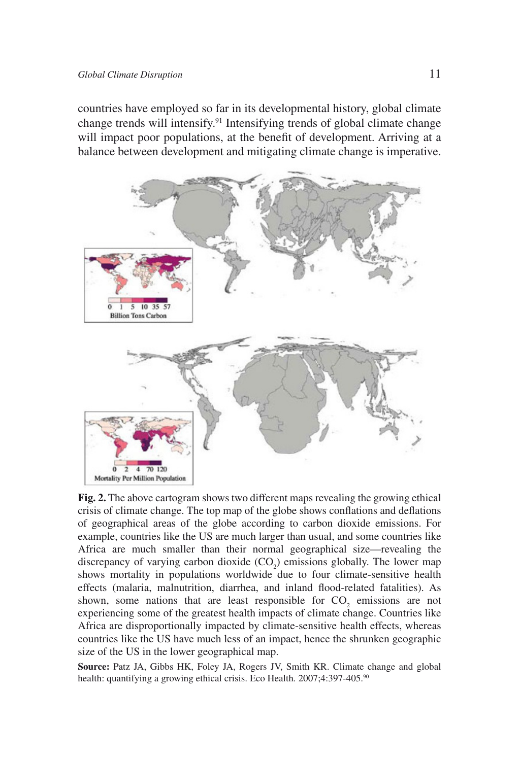countries have employed so far in its developmental history, global climate change trends will intensify.91 Intensifying trends of global climate change will impact poor populations, at the benefit of development. Arriving at a balance between development and mitigating climate change is imperative.



**Fig. 2.** The above cartogram shows two different maps revealing the growing ethical crisis of climate change. The top map of the globe shows conflations and deflations of geographical areas of the globe according to carbon dioxide emissions. For example, countries like the US are much larger than usual, and some countries like Africa are much smaller than their normal geographical size—revealing the discrepancy of varying carbon dioxide  $(CO_2)$  emissions globally. The lower map shows mortality in populations worldwide due to four climate-sensitive health effects (malaria, malnutrition, diarrhea, and inland flood-related fatalities). As shown, some nations that are least responsible for  $CO<sub>2</sub>$  emissions are not experiencing some of the greatest health impacts of climate change. Countries like Africa are disproportionally impacted by climate-sensitive health effects, whereas countries like the US have much less of an impact, hence the shrunken geographic size of the US in the lower geographical map.

**Source:** Patz JA, Gibbs HK, Foley JA, Rogers JV, Smith KR. Climate change and global health: quantifying a growing ethical crisis. Eco Health*.* 2007;4:397-405.90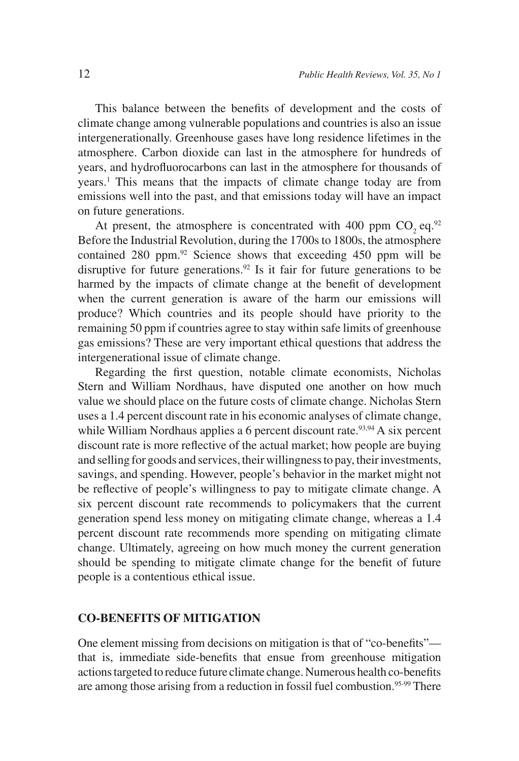This balance between the benefits of development and the costs of climate change among vulnerable populations and countries is also an issue intergenerationally. Greenhouse gases have long residence lifetimes in the atmosphere. Carbon dioxide can last in the atmosphere for hundreds of years, and hydrofluorocarbons can last in the atmosphere for thousands of years.1 This means that the impacts of climate change today are from emissions well into the past, and that emissions today will have an impact on future generations.

At present, the atmosphere is concentrated with 400 ppm  $CO$ , eq. $92$ Before the Industrial Revolution, during the 1700s to 1800s, the atmosphere contained 280 ppm.92 Science shows that exceeding 450 ppm will be disruptive for future generations.<sup>92</sup> Is it fair for future generations to be harmed by the impacts of climate change at the benefit of development when the current generation is aware of the harm our emissions will produce? Which countries and its people should have priority to the remaining 50 ppm if countries agree to stay within safe limits of greenhouse gas emissions? These are very important ethical questions that address the intergenerational issue of climate change.

Regarding the first question, notable climate economists, Nicholas Stern and William Nordhaus, have disputed one another on how much value we should place on the future costs of climate change. Nicholas Stern uses a 1.4 percent discount rate in his economic analyses of climate change, while William Nordhaus applies a 6 percent discount rate.<sup>93,94</sup> A six percent discount rate is more reflective of the actual market; how people are buying and selling for goods and services, their willingness to pay, their investments, savings, and spending. However, people's behavior in the market might not be reflective of people's willingness to pay to mitigate climate change. A six percent discount rate recommends to policymakers that the current generation spend less money on mitigating climate change, whereas a 1.4 percent discount rate recommends more spending on mitigating climate change. Ultimately, agreeing on how much money the current generation should be spending to mitigate climate change for the benefit of future people is a contentious ethical issue.

### **CO-BENEFITS OF MITIGATION**

One element missing from decisions on mitigation is that of "co-benefits" that is, immediate side-benefits that ensue from greenhouse mitigation actions targeted to reduce future climate change. Numerous health co-benefits are among those arising from a reduction in fossil fuel combustion.<sup>95-99</sup> There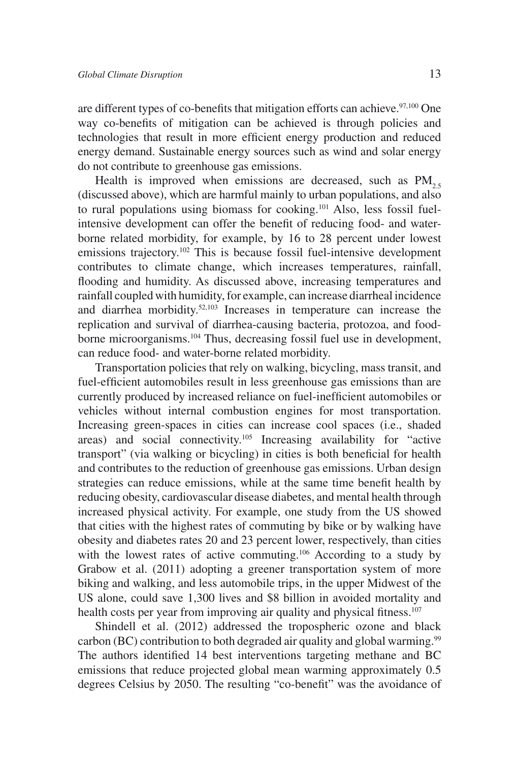are different types of co-benefits that mitigation efforts can achieve. $97,100$  One way co-benefits of mitigation can be achieved is through policies and technologies that result in more efficient energy production and reduced energy demand. Sustainable energy sources such as wind and solar energy do not contribute to greenhouse gas emissions.

Health is improved when emissions are decreased, such as  $PM_{2.5}$ (discussed above), which are harmful mainly to urban populations, and also to rural populations using biomass for cooking.101 Also, less fossil fuelintensive development can offer the benefit of reducing food- and waterborne related morbidity, for example, by 16 to 28 percent under lowest emissions trajectory.<sup>102</sup> This is because fossil fuel-intensive development contributes to climate change, which increases temperatures, rainfall, flooding and humidity. As discussed above, increasing temperatures and rainfall coupled with humidity, for example, can increase diarrheal incidence and diarrhea morbidity.52,103 Increases in temperature can increase the replication and survival of diarrhea-causing bacteria, protozoa, and foodborne microorganisms.104 Thus, decreasing fossil fuel use in development, can reduce food- and water-borne related morbidity.

Transportation policies that rely on walking, bicycling, mass transit, and fuel-efficient automobiles result in less greenhouse gas emissions than are currently produced by increased reliance on fuel-inefficient automobiles or vehicles without internal combustion engines for most transportation. Increasing green-spaces in cities can increase cool spaces (i.e., shaded areas) and social connectivity.105 Increasing availability for "active transport" (via walking or bicycling) in cities is both beneficial for health and contributes to the reduction of greenhouse gas emissions. Urban design strategies can reduce emissions, while at the same time benefit health by reducing obesity, cardiovascular disease diabetes, and mental health through increased physical activity. For example, one study from the US showed that cities with the highest rates of commuting by bike or by walking have obesity and diabetes rates 20 and 23 percent lower, respectively, than cities with the lowest rates of active commuting.<sup>106</sup> According to a study by Grabow et al. (2011) adopting a greener transportation system of more biking and walking, and less automobile trips, in the upper Midwest of the US alone, could save 1,300 lives and \$8 billion in avoided mortality and health costs per year from improving air quality and physical fitness.<sup>107</sup>

Shindell et al. (2012) addressed the tropospheric ozone and black carbon (BC) contribution to both degraded air quality and global warming.<sup>99</sup> The authors identified 14 best interventions targeting methane and BC emissions that reduce projected global mean warming approximately 0.5 degrees Celsius by 2050. The resulting "co-benefit" was the avoidance of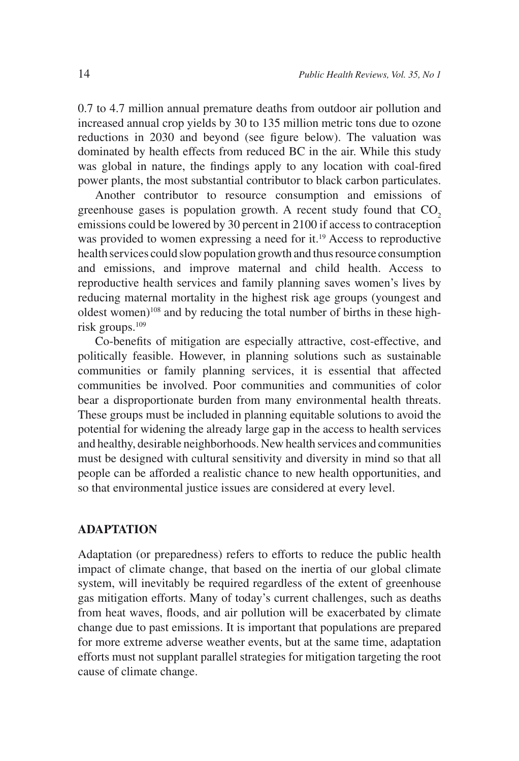0.7 to 4.7 million annual premature deaths from outdoor air pollution and increased annual crop yields by 30 to 135 million metric tons due to ozone reductions in 2030 and beyond (see figure below). The valuation was dominated by health effects from reduced BC in the air. While this study was global in nature, the findings apply to any location with coal-fired power plants, the most substantial contributor to black carbon particulates.

Another contributor to resource consumption and emissions of greenhouse gases is population growth. A recent study found that  $CO<sub>2</sub>$ emissions could be lowered by 30 percent in 2100 if access to contraception was provided to women expressing a need for it.<sup>19</sup> Access to reproductive health services could slow population growth and thus resource consumption and emissions, and improve maternal and child health. Access to reproductive health services and family planning saves women's lives by reducing maternal mortality in the highest risk age groups (youngest and oldest women)<sup>108</sup> and by reducing the total number of births in these highrisk groups.109

Co-benefits of mitigation are especially attractive, cost-effective, and politically feasible. However, in planning solutions such as sustainable communities or family planning services, it is essential that affected communities be involved. Poor communities and communities of color bear a disproportionate burden from many environmental health threats. These groups must be included in planning equitable solutions to avoid the potential for widening the already large gap in the access to health services and healthy, desirable neighborhoods. New health services and communities must be designed with cultural sensitivity and diversity in mind so that all people can be afforded a realistic chance to new health opportunities, and so that environmental justice issues are considered at every level.

### **ADAPTATION**

Adaptation (or preparedness) refers to efforts to reduce the public health impact of climate change, that based on the inertia of our global climate system, will inevitably be required regardless of the extent of greenhouse gas mitigation efforts. Many of today's current challenges, such as deaths from heat waves, floods, and air pollution will be exacerbated by climate change due to past emissions. It is important that populations are prepared for more extreme adverse weather events, but at the same time, adaptation efforts must not supplant parallel strategies for mitigation targeting the root cause of climate change.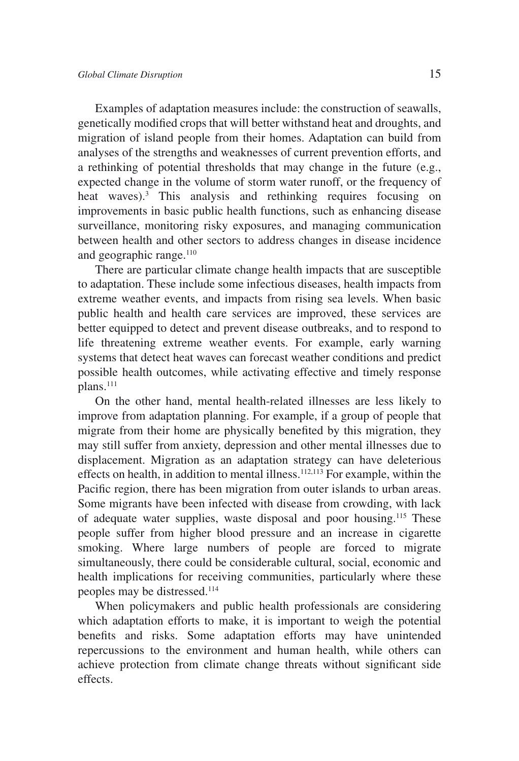Examples of adaptation measures include: the construction of seawalls, genetically modified crops that will better withstand heat and droughts, and migration of island people from their homes. Adaptation can build from analyses of the strengths and weaknesses of current prevention efforts, and a rethinking of potential thresholds that may change in the future (e.g., expected change in the volume of storm water runoff, or the frequency of heat waves).<sup>3</sup> This analysis and rethinking requires focusing on improvements in basic public health functions, such as enhancing disease surveillance, monitoring risky exposures, and managing communication between health and other sectors to address changes in disease incidence and geographic range. $110$ 

There are particular climate change health impacts that are susceptible to adaptation. These include some infectious diseases, health impacts from extreme weather events, and impacts from rising sea levels. When basic public health and health care services are improved, these services are better equipped to detect and prevent disease outbreaks, and to respond to life threatening extreme weather events. For example, early warning systems that detect heat waves can forecast weather conditions and predict possible health outcomes, while activating effective and timely response plans.<sup>111</sup>

On the other hand, mental health-related illnesses are less likely to improve from adaptation planning. For example, if a group of people that migrate from their home are physically benefited by this migration, they may still suffer from anxiety, depression and other mental illnesses due to displacement. Migration as an adaptation strategy can have deleterious effects on health, in addition to mental illness.<sup>112,113</sup> For example, within the Pacific region, there has been migration from outer islands to urban areas. Some migrants have been infected with disease from crowding, with lack of adequate water supplies, waste disposal and poor housing.115 These people suffer from higher blood pressure and an increase in cigarette smoking. Where large numbers of people are forced to migrate simultaneously, there could be considerable cultural, social, economic and health implications for receiving communities, particularly where these peoples may be distressed.114

When policymakers and public health professionals are considering which adaptation efforts to make, it is important to weigh the potential benefits and risks. Some adaptation efforts may have unintended repercussions to the environment and human health, while others can achieve protection from climate change threats without significant side effects.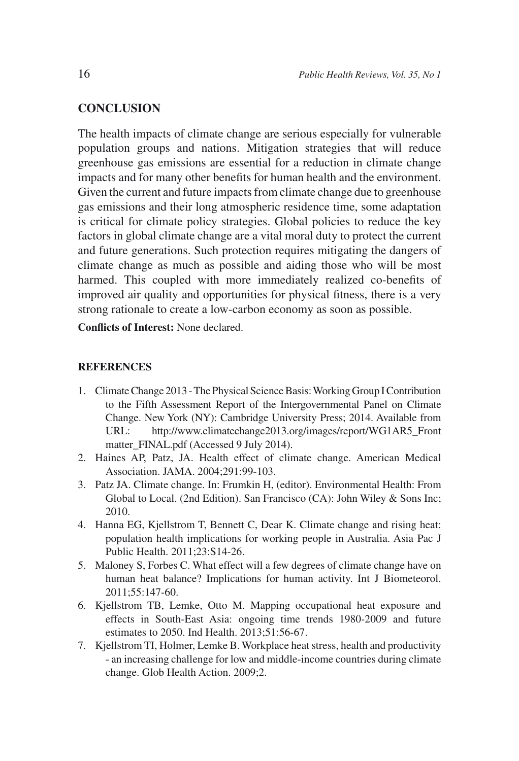## **CONCLUSION**

The health impacts of climate change are serious especially for vulnerable population groups and nations. Mitigation strategies that will reduce greenhouse gas emissions are essential for a reduction in climate change impacts and for many other benefits for human health and the environment. Given the current and future impacts from climate change due to greenhouse gas emissions and their long atmospheric residence time, some adaptation is critical for climate policy strategies. Global policies to reduce the key factors in global climate change are a vital moral duty to protect the current and future generations. Such protection requires mitigating the dangers of climate change as much as possible and aiding those who will be most harmed. This coupled with more immediately realized co-benefits of improved air quality and opportunities for physical fitness, there is a very strong rationale to create a low-carbon economy as soon as possible.

**Conflicts of Interest:** None declared.

#### **REFERENCES**

- 1. Climate Change 2013 The Physical Science Basis: Working Group I Contribution to the Fifth Assessment Report of the Intergovernmental Panel on Climate Change. New York (NY): Cambridge University Press; 2014. Available from URL: http://www.climatechange2013.org/images/report/WG1AR5\_Front matter\_FINAL.pdf (Accessed 9 July 2014).
- 2. Haines AP, Patz, JA. Health effect of climate change. American Medical Association. JAMA. 2004;291:99-103.
- 3. Patz JA. Climate change. In: Frumkin H, (editor). Environmental Health: From Global to Local. (2nd Edition). San Francisco (CA): John Wiley & Sons Inc; 2010.
- 4. Hanna EG, Kjellstrom T, Bennett C, Dear K. Climate change and rising heat: population health implications for working people in Australia. Asia Pac J Public Health. 2011;23:S14-26.
- 5. Maloney S, Forbes C. What effect will a few degrees of climate change have on human heat balance? Implications for human activity. Int J Biometeorol. 2011;55:147-60.
- 6. Kjellstrom TB, Lemke, Otto M. Mapping occupational heat exposure and effects in South-East Asia: ongoing time trends 1980-2009 and future estimates to 2050. Ind Health. 2013;51:56-67.
- 7. Kjellstrom TI, Holmer, Lemke B. Workplace heat stress, health and productivity - an increasing challenge for low and middle-income countries during climate change. Glob Health Action. 2009;2.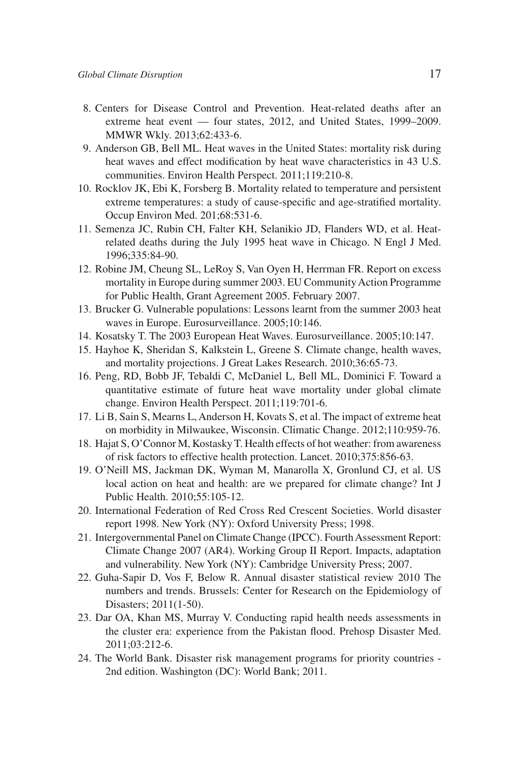- 8. Centers for Disease Control and Prevention. Heat-related deaths after an extreme heat event — four states, 2012, and United States, 1999–2009. MMWR Wkly. 2013;62:433-6.
- 9. Anderson GB, Bell ML. Heat waves in the United States: mortality risk during heat waves and effect modification by heat wave characteristics in 43 U.S. communities. Environ Health Perspect. 2011;119:210-8.
- 10. Rocklov JK, Ebi K, Forsberg B. Mortality related to temperature and persistent extreme temperatures: a study of cause-specific and age-stratified mortality. Occup Environ Med. 201;68:531-6.
- 11. Semenza JC, Rubin CH, Falter KH, Selanikio JD, Flanders WD, et al. Heatrelated deaths during the July 1995 heat wave in Chicago. N Engl J Med. 1996;335:84-90.
- 12. Robine JM, Cheung SL, LeRoy S, Van Oyen H, Herrman FR. Report on excess mortality in Europe during summer 2003. EU Community Action Programme for Public Health, Grant Agreement 2005. February 2007.
- 13. Brucker G. Vulnerable populations: Lessons learnt from the summer 2003 heat waves in Europe. Eurosurveillance. 2005;10:146.
- 14. Kosatsky T. The 2003 European Heat Waves. Eurosurveillance. 2005;10:147.
- 15. Hayhoe K, Sheridan S, Kalkstein L, Greene S. Climate change, health waves, and mortality projections. J Great Lakes Research. 2010;36:65-73.
- 16. Peng, RD, Bobb JF, Tebaldi C, McDaniel L, Bell ML, Dominici F. Toward a quantitative estimate of future heat wave mortality under global climate change. Environ Health Perspect. 2011;119:701-6.
- 17. Li B, Sain S, Mearns L, Anderson H, Kovats S, et al. The impact of extreme heat on morbidity in Milwaukee, Wisconsin. Climatic Change. 2012;110:959-76.
- 18. Hajat S, O'Connor M, Kostasky T. Health effects of hot weather: from awareness of risk factors to effective health protection. Lancet. 2010;375:856-63.
- 19. O'Neill MS, Jackman DK, Wyman M, Manarolla X, Gronlund CJ, et al. US local action on heat and health: are we prepared for climate change? Int J Public Health. 2010;55:105-12.
- 20. International Federation of Red Cross Red Crescent Societies. World disaster report 1998. New York (NY): Oxford University Press; 1998.
- 21. Intergovernmental Panel on Climate Change (IPCC). Fourth Assessment Report: Climate Change 2007 (AR4). Working Group II Report. Impacts, adaptation and vulnerability. New York (NY): Cambridge University Press; 2007.
- 22. Guha-Sapir D, Vos F, Below R. Annual disaster statistical review 2010 The numbers and trends. Brussels: Center for Research on the Epidemiology of Disasters; 2011(1-50).
- 23. Dar OA, Khan MS, Murray V. Conducting rapid health needs assessments in the cluster era: experience from the Pakistan flood. Prehosp Disaster Med. 2011;03:212-6.
- 24. The World Bank. Disaster risk management programs for priority countries 2nd edition. Washington (DC): World Bank; 2011.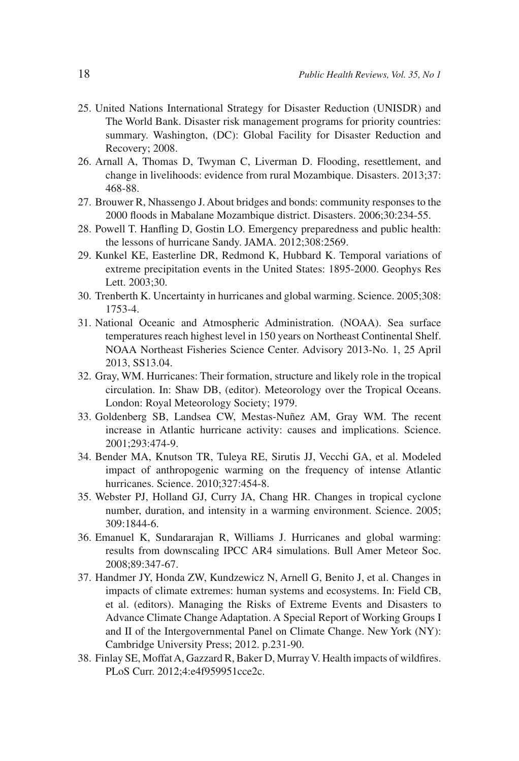- 25. United Nations International Strategy for Disaster Reduction (UNISDR) and The World Bank. Disaster risk management programs for priority countries: summary. Washington, (DC): Global Facility for Disaster Reduction and Recovery; 2008.
- 26. Arnall A, Thomas D, Twyman C, Liverman D. Flooding, resettlement, and change in livelihoods: evidence from rural Mozambique. Disasters. 2013;37: 468-88.
- 27. Brouwer R, Nhassengo J. About bridges and bonds: community responses to the 2000 floods in Mabalane Mozambique district. Disasters. 2006;30:234-55.
- 28. Powell T. Hanfling D, Gostin LO. Emergency preparedness and public health: the lessons of hurricane Sandy. JAMA. 2012;308:2569.
- 29. Kunkel KE, Easterline DR, Redmond K, Hubbard K. Temporal variations of extreme precipitation events in the United States: 1895-2000. Geophys Res Lett. 2003;30.
- 30. Trenberth K. Uncertainty in hurricanes and global warming. Science. 2005;308: 1753-4.
- 31. National Oceanic and Atmospheric Administration. (NOAA). Sea surface temperatures reach highest level in 150 years on Northeast Continental Shelf. NOAA Northeast Fisheries Science Center. Advisory 2013-No. 1, 25 April 2013, SS13.04.
- 32. Gray, WM. Hurricanes: Their formation, structure and likely role in the tropical circulation. In: Shaw DB, (editor). Meteorology over the Tropical Oceans. London: Royal Meteorology Society; 1979.
- 33. Goldenberg SB, Landsea CW, Mestas-Nuñez AM, Gray WM. The recent increase in Atlantic hurricane activity: causes and implications. Science. 2001;293:474-9.
- 34. Bender MA, Knutson TR, Tuleya RE, Sirutis JJ, Vecchi GA, et al. Modeled impact of anthropogenic warming on the frequency of intense Atlantic hurricanes. Science. 2010;327:454-8.
- 35. Webster PJ, Holland GJ, Curry JA, Chang HR. Changes in tropical cyclone number, duration, and intensity in a warming environment. Science. 2005; 309:1844-6.
- 36. Emanuel K, Sundararajan R, Williams J. Hurricanes and global warming: results from downscaling IPCC AR4 simulations. Bull Amer Meteor Soc. 2008;89:347-67.
- 37. Handmer JY, Honda ZW, Kundzewicz N, Arnell G, Benito J, et al. Changes in impacts of climate extremes: human systems and ecosystems. In: Field CB, et al. (editors). Managing the Risks of Extreme Events and Disasters to Advance Climate Change Adaptation. A Special Report of Working Groups I and II of the Intergovernmental Panel on Climate Change. New York (NY): Cambridge University Press; 2012. p.231-90.
- 38. Finlay SE, Moffat A, Gazzard R, Baker D, Murray V. Health impacts of wildfires. PLoS Curr. 2012;4:e4f959951cce2c.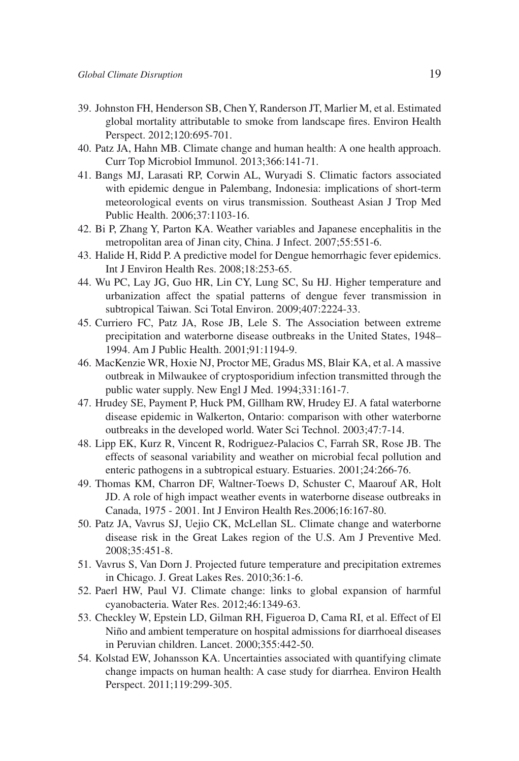- 39. Johnston FH, Henderson SB, Chen Y, Randerson JT, Marlier M, et al. Estimated global mortality attributable to smoke from landscape fires. Environ Health Perspect. 2012;120:695-701.
- 40. Patz JA, Hahn MB. Climate change and human health: A one health approach. Curr Top Microbiol Immunol. 2013;366:141-71.
- 41. Bangs MJ, Larasati RP, Corwin AL, Wuryadi S. Climatic factors associated with epidemic dengue in Palembang, Indonesia: implications of short-term meteorological events on virus transmission. Southeast Asian J Trop Med Public Health. 2006;37:1103-16.
- 42. Bi P, Zhang Y, Parton KA. Weather variables and Japanese encephalitis in the metropolitan area of Jinan city, China. J Infect. 2007;55:551-6.
- 43. Halide H, Ridd P. A predictive model for Dengue hemorrhagic fever epidemics. Int J Environ Health Res. 2008;18:253-65.
- 44. Wu PC, Lay JG, Guo HR, Lin CY, Lung SC, Su HJ. Higher temperature and urbanization affect the spatial patterns of dengue fever transmission in subtropical Taiwan. Sci Total Environ. 2009;407:2224-33.
- 45. Curriero FC, Patz JA, Rose JB, Lele S. The Association between extreme precipitation and waterborne disease outbreaks in the United States, 1948– 1994. Am J Public Health. 2001;91:1194-9.
- 46. MacKenzie WR, Hoxie NJ, Proctor ME, Gradus MS, Blair KA, et al. A massive outbreak in Milwaukee of cryptosporidium infection transmitted through the public water supply. New Engl J Med. 1994;331:161-7.
- 47. Hrudey SE, Payment P, Huck PM, Gillham RW, Hrudey EJ. A fatal waterborne disease epidemic in Walkerton, Ontario: comparison with other waterborne outbreaks in the developed world. Water Sci Technol. 2003;47:7-14.
- 48. Lipp EK, Kurz R, Vincent R, Rodriguez-Palacios C, Farrah SR, Rose JB. The effects of seasonal variability and weather on microbial fecal pollution and enteric pathogens in a subtropical estuary. Estuaries. 2001;24:266-76.
- 49. Thomas KM, Charron DF, Waltner-Toews D, Schuster C, Maarouf AR, Holt JD. A role of high impact weather events in waterborne disease outbreaks in Canada, 1975 - 2001. Int J Environ Health Res.2006;16:167-80.
- 50. Patz JA, Vavrus SJ, Uejio CK, McLellan SL. Climate change and waterborne disease risk in the Great Lakes region of the U.S. Am J Preventive Med. 2008;35:451-8.
- 51. Vavrus S, Van Dorn J. Projected future temperature and precipitation extremes in Chicago. J. Great Lakes Res. 2010;36:1-6.
- 52. Paerl HW, Paul VJ. Climate change: links to global expansion of harmful cyanobacteria. Water Res. 2012;46:1349-63.
- 53. Checkley W, Epstein LD, Gilman RH, Figueroa D, Cama RI, et al. Effect of El Niño and ambient temperature on hospital admissions for diarrhoeal diseases in Peruvian children. Lancet. 2000;355:442-50.
- 54. Kolstad EW, Johansson KA. Uncertainties associated with quantifying climate change impacts on human health: A case study for diarrhea. Environ Health Perspect. 2011;119:299-305.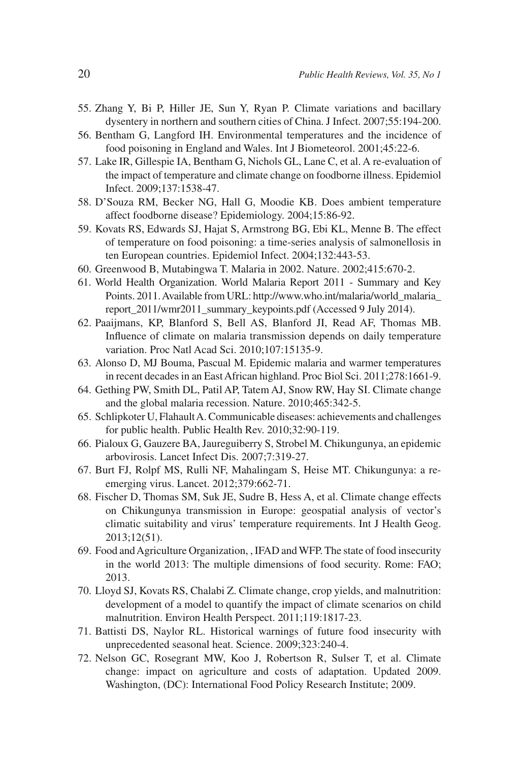- 55. Zhang Y, Bi P, Hiller JE, Sun Y, Ryan P. Climate variations and bacillary dysentery in northern and southern cities of China. J Infect. 2007;55:194-200.
- 56. Bentham G, Langford IH. Environmental temperatures and the incidence of food poisoning in England and Wales. Int J Biometeorol. 2001;45:22-6.
- 57. Lake IR, Gillespie IA, Bentham G, Nichols GL, Lane C, et al. A re-evaluation of the impact of temperature and climate change on foodborne illness. Epidemiol Infect. 2009;137:1538-47.
- 58. D'Souza RM, Becker NG, Hall G, Moodie KB. Does ambient temperature affect foodborne disease? Epidemiology. 2004;15:86-92.
- 59. Kovats RS, Edwards SJ, Hajat S, Armstrong BG, Ebi KL, Menne B. The effect of temperature on food poisoning: a time-series analysis of salmonellosis in ten European countries. Epidemiol Infect. 2004;132:443-53.
- 60. Greenwood B, Mutabingwa T. Malaria in 2002. Nature. 2002;415:670-2.
- 61. World Health Organization. World Malaria Report 2011 Summary and Key Points. 2011. Available from URL: http://www.who.int/malaria/world\_malaria\_ report\_2011/wmr2011\_summary\_keypoints.pdf (Accessed 9 July 2014).
- 62. Paaijmans, KP, Blanford S, Bell AS, Blanford JI, Read AF, Thomas MB. Influence of climate on malaria transmission depends on daily temperature variation. Proc Natl Acad Sci. 2010;107:15135-9.
- 63. Alonso D, MJ Bouma, Pascual M. Epidemic malaria and warmer temperatures in recent decades in an East African highland. Proc Biol Sci. 2011;278:1661-9.
- 64. Gething PW, Smith DL, Patil AP, Tatem AJ, Snow RW, Hay SI. Climate change and the global malaria recession. Nature. 2010;465:342-5.
- 65. Schlipkoter U, Flahault A. Communicable diseases: achievements and challenges for public health. Public Health Rev. 2010;32:90-119.
- 66. Pialoux G, Gauzere BA, Jaureguiberry S, Strobel M. Chikungunya, an epidemic arbovirosis. Lancet Infect Dis. 2007;7:319-27.
- 67. Burt FJ, Rolpf MS, Rulli NF, Mahalingam S, Heise MT. Chikungunya: a reemerging virus. Lancet. 2012;379:662-71.
- 68. Fischer D, Thomas SM, Suk JE, Sudre B, Hess A, et al. Climate change effects on Chikungunya transmission in Europe: geospatial analysis of vector's climatic suitability and virus' temperature requirements. Int J Health Geog. 2013;12(51).
- 69. Food and Agriculture Organization, , IFAD and WFP. The state of food insecurity in the world 2013: The multiple dimensions of food security. Rome: FAO; 2013.
- 70. Lloyd SJ, Kovats RS, Chalabi Z. Climate change, crop yields, and malnutrition: development of a model to quantify the impact of climate scenarios on child malnutrition. Environ Health Perspect. 2011;119:1817-23.
- 71. Battisti DS, Naylor RL. Historical warnings of future food insecurity with unprecedented seasonal heat. Science. 2009;323:240-4.
- 72. Nelson GC, Rosegrant MW, Koo J, Robertson R, Sulser T, et al. Climate change: impact on agriculture and costs of adaptation. Updated 2009. Washington, (DC): International Food Policy Research Institute; 2009.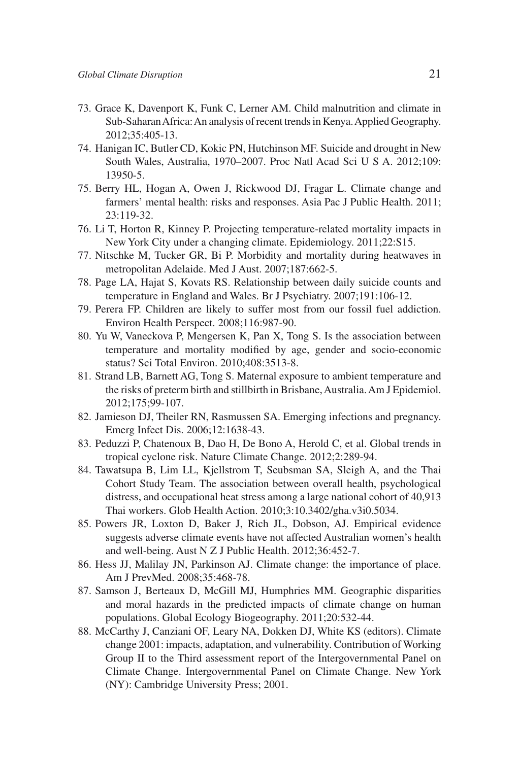- 73. Grace K, Davenport K, Funk C, Lerner AM. Child malnutrition and climate in Sub-Saharan Africa: An analysis of recent trends in Kenya. Applied Geography. 2012;35:405-13.
- 74. Hanigan IC, Butler CD, Kokic PN, Hutchinson MF. Suicide and drought in New South Wales, Australia, 1970–2007. Proc Natl Acad Sci U S A. 2012;109: 13950-5.
- 75. Berry HL, Hogan A, Owen J, Rickwood DJ, Fragar L. Climate change and farmers' mental health: risks and responses. Asia Pac J Public Health. 2011; 23:119-32.
- 76. Li T, Horton R, Kinney P. Projecting temperature-related mortality impacts in New York City under a changing climate. Epidemiology. 2011;22:S15.
- 77. Nitschke M, Tucker GR, Bi P. Morbidity and mortality during heatwaves in metropolitan Adelaide. Med J Aust. 2007;187:662-5.
- 78. Page LA, Hajat S, Kovats RS. Relationship between daily suicide counts and temperature in England and Wales. Br J Psychiatry. 2007;191:106-12.
- 79. Perera FP. Children are likely to suffer most from our fossil fuel addiction. Environ Health Perspect. 2008;116:987-90.
- 80. Yu W, Vaneckova P, Mengersen K, Pan X, Tong S. Is the association between temperature and mortality modified by age, gender and socio-economic status? Sci Total Environ. 2010;408:3513-8.
- 81. Strand LB, Barnett AG, Tong S. Maternal exposure to ambient temperature and the risks of preterm birth and stillbirth in Brisbane, Australia. Am J Epidemiol. 2012;175;99-107.
- 82. Jamieson DJ, Theiler RN, Rasmussen SA. Emerging infections and pregnancy. Emerg Infect Dis. 2006;12:1638-43.
- 83. Peduzzi P, Chatenoux B, Dao H, De Bono A, Herold C, et al. Global trends in tropical cyclone risk. Nature Climate Change. 2012;2:289-94.
- 84. Tawatsupa B, Lim LL, Kjellstrom T, Seubsman SA, Sleigh A, and the Thai Cohort Study Team. The association between overall health, psychological distress, and occupational heat stress among a large national cohort of 40,913 Thai workers. Glob Health Action. 2010;3:10.3402/gha.v3i0.5034.
- 85. Powers JR, Loxton D, Baker J, Rich JL, Dobson, AJ. Empirical evidence suggests adverse climate events have not affected Australian women's health and well-being. Aust N Z J Public Health. 2012;36:452-7.
- 86. Hess JJ, Malilay JN, Parkinson AJ. Climate change: the importance of place. Am J PrevMed. 2008;35:468-78.
- 87. Samson J, Berteaux D, McGill MJ, Humphries MM. Geographic disparities and moral hazards in the predicted impacts of climate change on human populations. Global Ecology Biogeography. 2011;20:532-44.
- 88. McCarthy J, Canziani OF, Leary NA, Dokken DJ, White KS (editors). Climate change 2001: impacts, adaptation, and vulnerability. Contribution of Working Group II to the Third assessment report of the Intergovernmental Panel on Climate Change. Intergovernmental Panel on Climate Change. New York (NY): Cambridge University Press; 2001.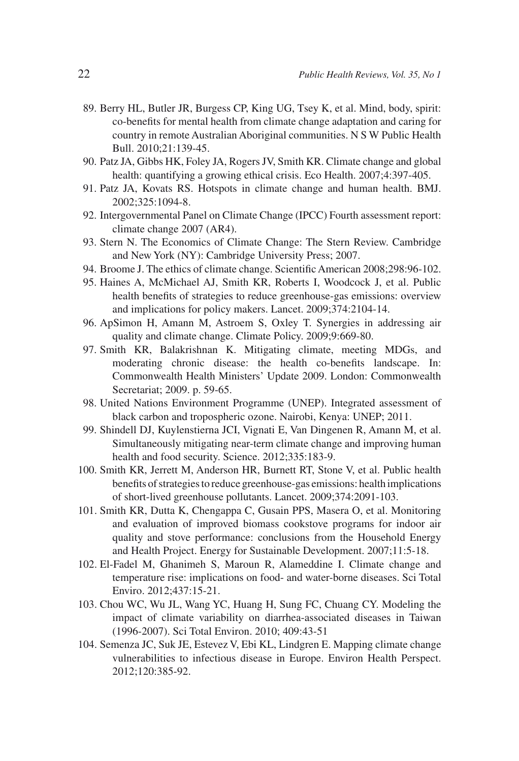- 89. Berry HL, Butler JR, Burgess CP, King UG, Tsey K, et al. Mind, body, spirit: co-benefits for mental health from climate change adaptation and caring for country in remote Australian Aboriginal communities. N S W Public Health Bull. 2010;21:139-45.
- 90. Patz JA, Gibbs HK, Foley JA, Rogers JV, Smith KR. Climate change and global health: quantifying a growing ethical crisis. Eco Health. 2007;4:397-405.
- 91. Patz JA, Kovats RS. Hotspots in climate change and human health. BMJ. 2002;325:1094-8.
- 92. Intergovernmental Panel on Climate Change (IPCC) Fourth assessment report: climate change 2007 (AR4).
- 93. Stern N. The Economics of Climate Change: The Stern Review. Cambridge and New York (NY): Cambridge University Press; 2007.
- 94. Broome J. The ethics of climate change. Scientific American 2008;298:96-102.
- 95. Haines A, McMichael AJ, Smith KR, Roberts I, Woodcock J, et al. Public health benefits of strategies to reduce greenhouse-gas emissions: overview and implications for policy makers. Lancet. 2009;374:2104-14.
- 96. ApSimon H, Amann M, Astroem S, Oxley T. Synergies in addressing air quality and climate change. Climate Policy. 2009;9:669-80.
- 97. Smith KR, Balakrishnan K. Mitigating climate, meeting MDGs, and moderating chronic disease: the health co-benefits landscape. In: Commonwealth Health Ministers' Update 2009. London: Commonwealth Secretariat; 2009. p. 59-65.
- 98. United Nations Environment Programme (UNEP). Integrated assessment of black carbon and tropospheric ozone. Nairobi, Kenya: UNEP; 2011.
- 99. Shindell DJ, Kuylenstierna JCI, Vignati E, Van Dingenen R, Amann M, et al. Simultaneously mitigating near-term climate change and improving human health and food security. Science. 2012;335:183-9.
- 100. Smith KR, Jerrett M, Anderson HR, Burnett RT, Stone V, et al. Public health benefits of strategies to reduce greenhouse-gas emissions: health implications of short-lived greenhouse pollutants. Lancet. 2009;374:2091-103.
- 101. Smith KR, Dutta K, Chengappa C, Gusain PPS, Masera O, et al. Monitoring and evaluation of improved biomass cookstove programs for indoor air quality and stove performance: conclusions from the Household Energy and Health Project. Energy for Sustainable Development. 2007;11:5-18.
- 102. El-Fadel M, Ghanimeh S, Maroun R, Alameddine I. Climate change and temperature rise: implications on food- and water-borne diseases. Sci Total Enviro. 2012;437:15-21.
- 103. Chou WC, Wu JL, Wang YC, Huang H, Sung FC, Chuang CY. Modeling the impact of climate variability on diarrhea-associated diseases in Taiwan (1996-2007). Sci Total Environ. 2010; 409:43-51
- 104. Semenza JC, Suk JE, Estevez V, Ebi KL, Lindgren E. Mapping climate change vulnerabilities to infectious disease in Europe. Environ Health Perspect. 2012;120:385-92.